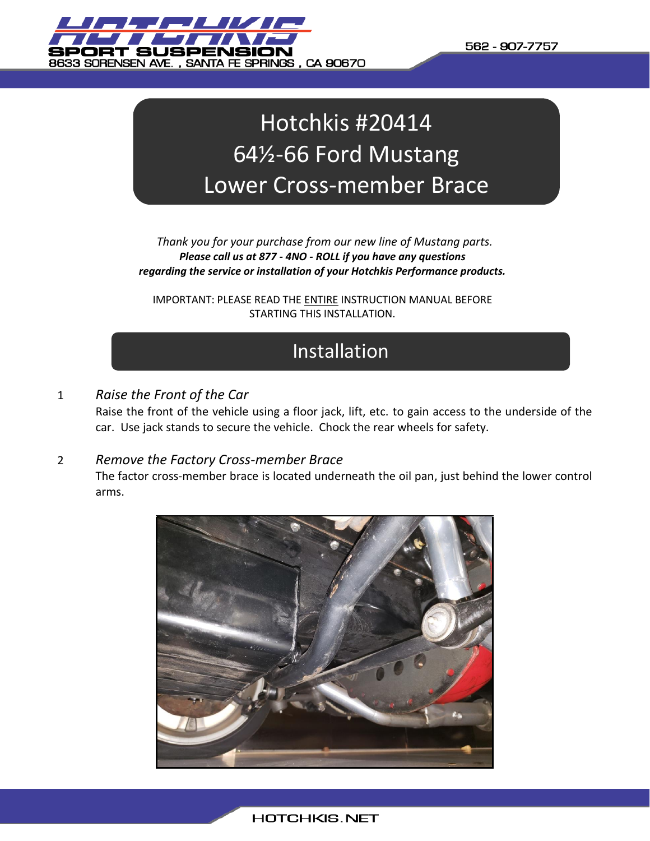

# Hotchkis #20414 64½-66 Ford Mustang Lower Cross-member Brace

*Thank you for your purchase from our new line of Mustang parts. Please call us at 877 - 4NO - ROLL if you have any questions regarding the service or installation of your Hotchkis Performance products.*

IMPORTANT: PLEASE READ THE ENTIRE INSTRUCTION MANUAL BEFORE STARTING THIS INSTALLATION.

## Installation

## 1 *Raise the Front of the Car*

Raise the front of the vehicle using a floor jack, lift, etc. to gain access to the underside of the car. Use jack stands to secure the vehicle. Chock the rear wheels for safety.

## 2 *Remove the Factory Cross-member Brace*

The factor cross-member brace is located underneath the oil pan, just behind the lower control arms.

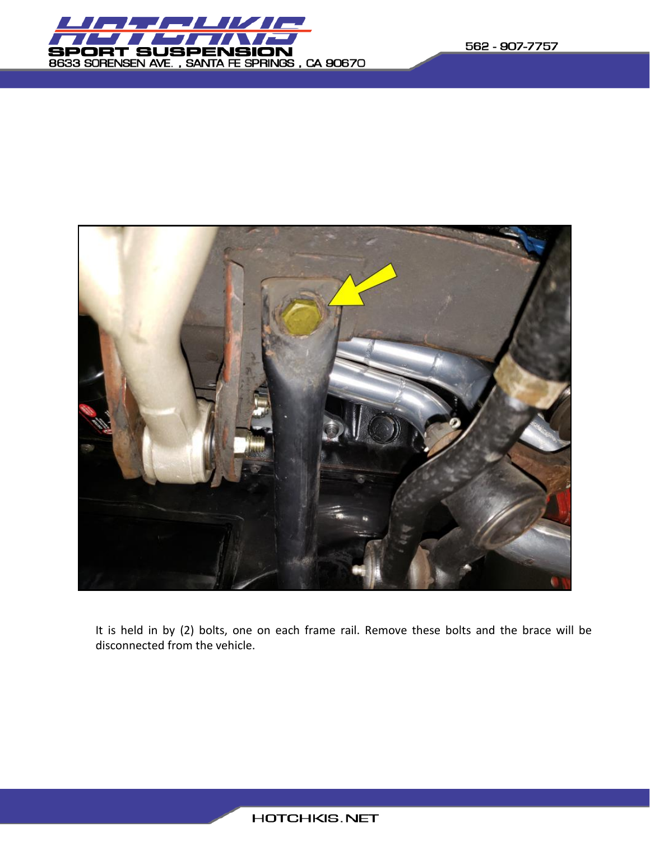



It is held in by (2) bolts, one on each frame rail. Remove these bolts and the brace will be disconnected from the vehicle.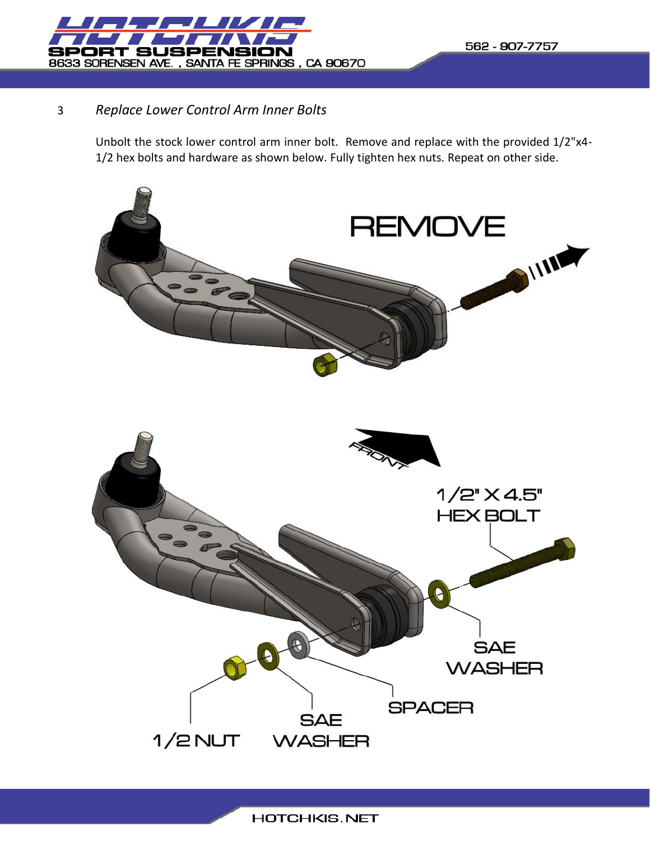

## 3 *Replace Lower Control Arm Inner Bolts*

Unbolt the stock lower control arm inner bolt. Remove and replace with the provided 1/2"x4- 1/2 hex bolts and hardware as shown below. Fully tighten hex nuts. Repeat on other side.

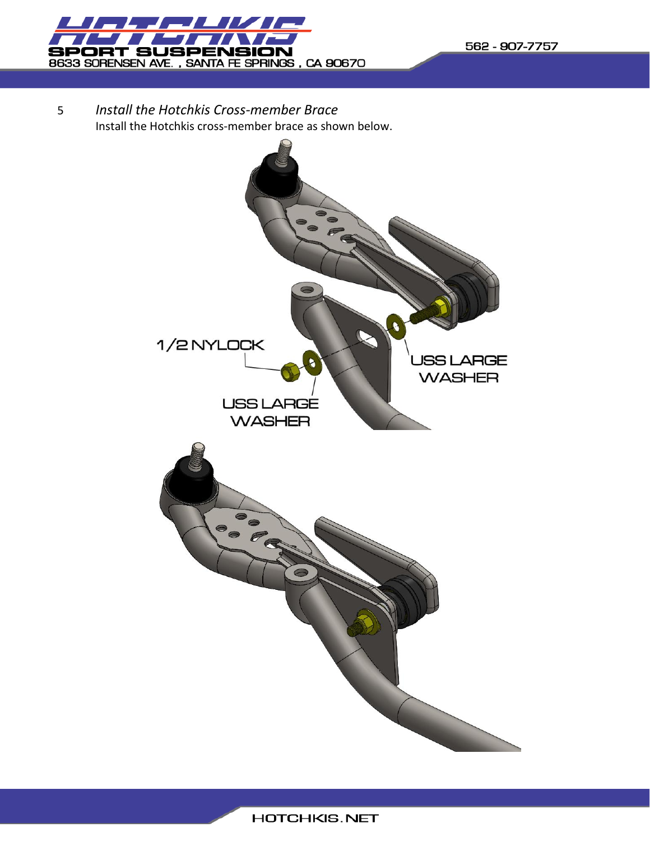

5 *Install the Hotchkis Cross-member Brace* Install the Hotchkis cross-member brace as shown below.

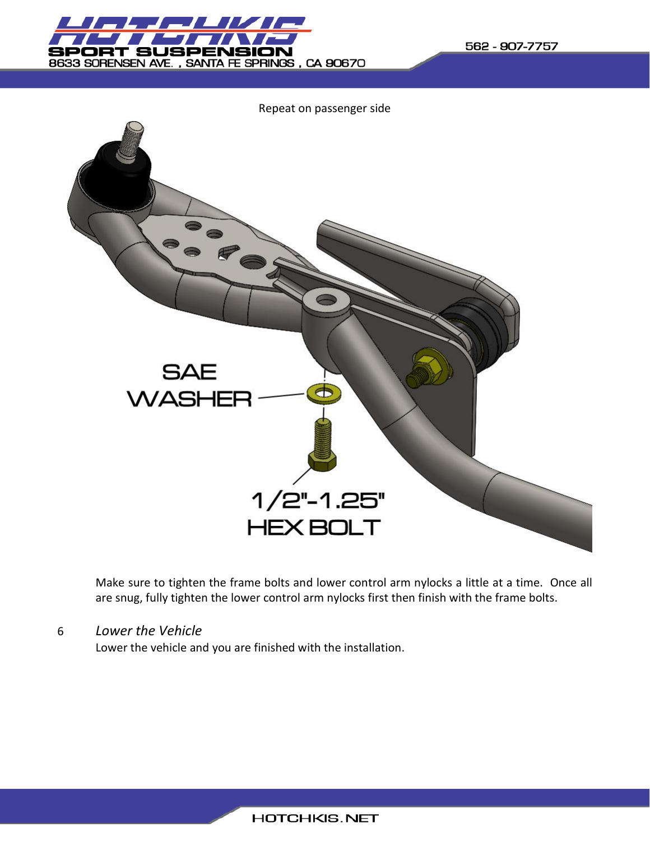

562 - 907-7757



Make sure to tighten the frame bolts and lower control arm nylocks a little at a time. Once all are snug, fully tighten the lower control arm nylocks first then finish with the frame bolts.

## 6 *Lower the Vehicle*

Lower the vehicle and you are finished with the installation.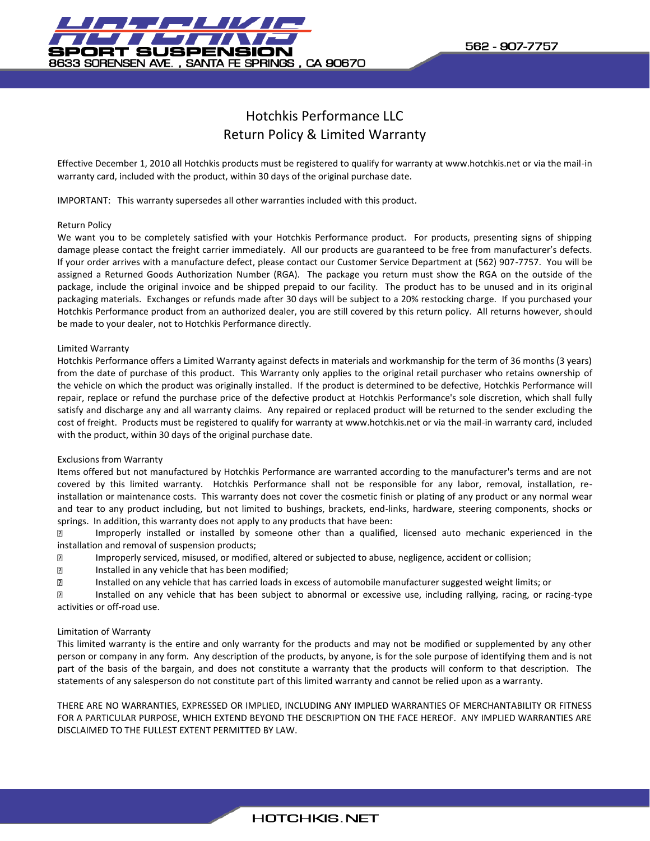

## Hotchkis Performance LLC Return Policy & Limited Warranty

Effective December 1, 2010 all Hotchkis products must be registered to qualify for warranty at www.hotchkis.net or via the mail-in warranty card, included with the product, within 30 days of the original purchase date.

IMPORTANT: This warranty supersedes all other warranties included with this product.

#### Return Policy

We want you to be completely satisfied with your Hotchkis Performance product. For products, presenting signs of shipping damage please contact the freight carrier immediately. All our products are guaranteed to be free from manufacturer's defects. If your order arrives with a manufacture defect, please contact our Customer Service Department at (562) 907-7757. You will be assigned a Returned Goods Authorization Number (RGA). The package you return must show the RGA on the outside of the package, include the original invoice and be shipped prepaid to our facility. The product has to be unused and in its original packaging materials. Exchanges or refunds made after 30 days will be subject to a 20% restocking charge. If you purchased your Hotchkis Performance product from an authorized dealer, you are still covered by this return policy. All returns however, should be made to your dealer, not to Hotchkis Performance directly.

#### Limited Warranty

Hotchkis Performance offers a Limited Warranty against defects in materials and workmanship for the term of 36 months (3 years) from the date of purchase of this product. This Warranty only applies to the original retail purchaser who retains ownership of the vehicle on which the product was originally installed. If the product is determined to be defective, Hotchkis Performance will repair, replace or refund the purchase price of the defective product at Hotchkis Performance's sole discretion, which shall fully satisfy and discharge any and all warranty claims. Any repaired or replaced product will be returned to the sender excluding the cost of freight. Products must be registered to qualify for warranty at www.hotchkis.net or via the mail-in warranty card, included with the product, within 30 days of the original purchase date.

#### Exclusions from Warranty

Items offered but not manufactured by Hotchkis Performance are warranted according to the manufacturer's terms and are not covered by this limited warranty. Hotchkis Performance shall not be responsible for any labor, removal, installation, reinstallation or maintenance costs. This warranty does not cover the cosmetic finish or plating of any product or any normal wear and tear to any product including, but not limited to bushings, brackets, end-links, hardware, steering components, shocks or springs. In addition, this warranty does not apply to any products that have been:

 $\boxed{2}$ Improperly installed or installed by someone other than a qualified, licensed auto mechanic experienced in the installation and removal of suspension products;

- $\overline{2}$ Improperly serviced, misused, or modified, altered or subjected to abuse, negligence, accident or collision;
- $\overline{\mathbf{S}}$ Installed in any vehicle that has been modified;
- $\overline{\textbf{2}}$ Installed on any vehicle that has carried loads in excess of automobile manufacturer suggested weight limits; or

 $\overline{2}$ Installed on any vehicle that has been subject to abnormal or excessive use, including rallying, racing, or racing-type activities or off-road use.

#### Limitation of Warranty

This limited warranty is the entire and only warranty for the products and may not be modified or supplemented by any other person or company in any form. Any description of the products, by anyone, is for the sole purpose of identifying them and is not part of the basis of the bargain, and does not constitute a warranty that the products will conform to that description. The statements of any salesperson do not constitute part of this limited warranty and cannot be relied upon as a warranty.

THERE ARE NO WARRANTIES, EXPRESSED OR IMPLIED, INCLUDING ANY IMPLIED WARRANTIES OF MERCHANTABILITY OR FITNESS FOR A PARTICULAR PURPOSE, WHICH EXTEND BEYOND THE DESCRIPTION ON THE FACE HEREOF. ANY IMPLIED WARRANTIES ARE DISCLAIMED TO THE FULLEST EXTENT PERMITTED BY LAW.